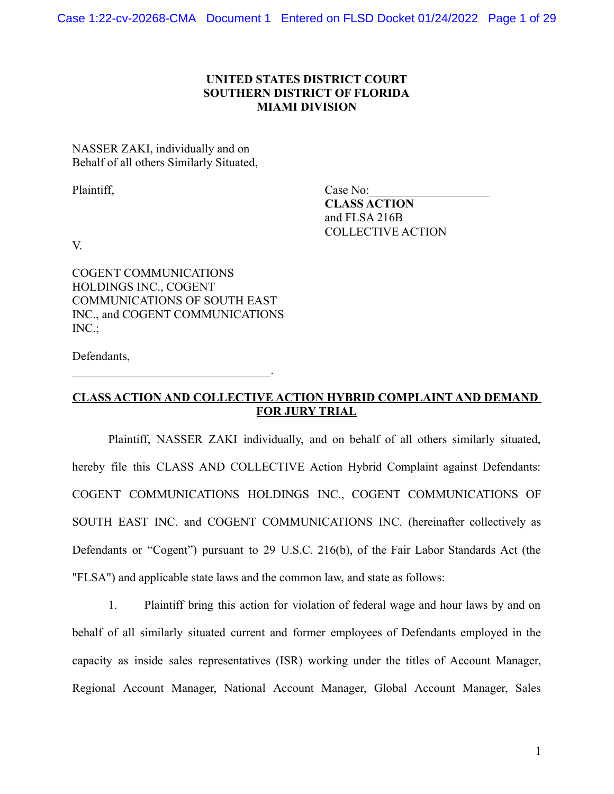## **UNITED STATES DISTRICT COURT SOUTHERN DISTRICT OF FLORIDA MIAMI DIVISION**

NASSER ZAKI, individually and on Behalf of all others Similarly Situated,

Plaintiff, Case No: **CLASS ACTION** and FLSA 216B COLLECTIVE ACTION

V.

COGENT COMMUNICATIONS HOLDINGS INC., COGENT COMMUNICATIONS OF SOUTH EAST INC., and COGENT COMMUNICATIONS INC.;

 $\mathcal{L}_\text{max}$  and  $\mathcal{L}_\text{max}$  and  $\mathcal{L}_\text{max}$  and  $\mathcal{L}_\text{max}$ 

Defendants,

# **CLASS ACTION AND COLLECTIVE ACTION HYBRID COMPLAINT AND DEMAND FOR JURY TRIAL**

Plaintiff, NASSER ZAKI individually, and on behalf of all others similarly situated, hereby file this CLASS AND COLLECTIVE Action Hybrid Complaint against Defendants: COGENT COMMUNICATIONS HOLDINGS INC., COGENT COMMUNICATIONS OF SOUTH EAST INC. and COGENT COMMUNICATIONS INC. (hereinafter collectively as Defendants or "Cogent") pursuant to 29 U.S.C. 216(b), of the Fair Labor Standards Act (the "FLSA") and applicable state laws and the common law, and state as follows:

1. Plaintiff bring this action for violation of federal wage and hour laws by and on behalf of all similarly situated current and former employees of Defendants employed in the capacity as inside sales representatives (ISR) working under the titles of Account Manager, Regional Account Manager, National Account Manager, Global Account Manager, Sales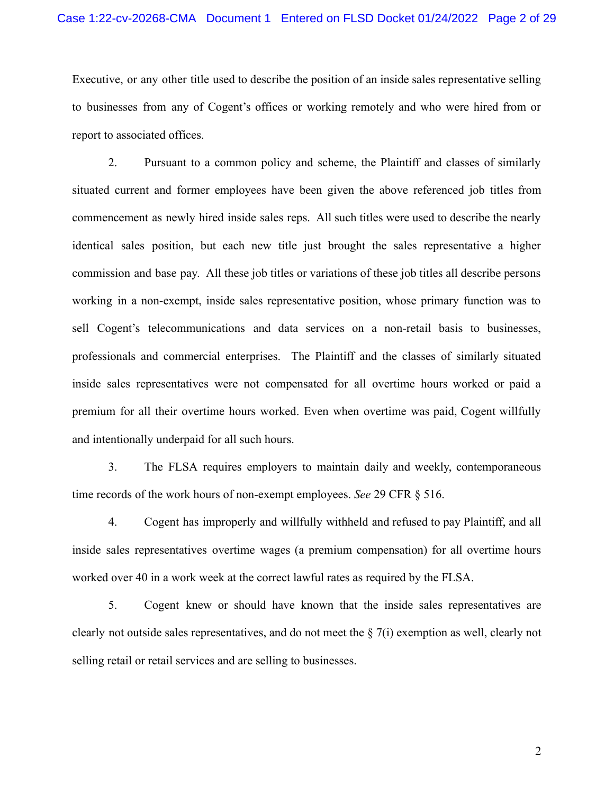Executive, or any other title used to describe the position of an inside sales representative selling to businesses from any of Cogent's offices or working remotely and who were hired from or report to associated offices.

2. Pursuant to a common policy and scheme, the Plaintiff and classes of similarly situated current and former employees have been given the above referenced job titles from commencement as newly hired inside sales reps. All such titles were used to describe the nearly identical sales position, but each new title just brought the sales representative a higher commission and base pay. All these job titles or variations of these job titles all describe persons working in a non-exempt, inside sales representative position, whose primary function was to sell Cogent's telecommunications and data services on a non-retail basis to businesses, professionals and commercial enterprises. The Plaintiff and the classes of similarly situated inside sales representatives were not compensated for all overtime hours worked or paid a premium for all their overtime hours worked. Even when overtime was paid, Cogent willfully and intentionally underpaid for all such hours.

3. The FLSA requires employers to maintain daily and weekly, contemporaneous time records of the work hours of non-exempt employees. *See* 29 CFR § 516.

4. Cogent has improperly and willfully withheld and refused to pay Plaintiff, and all inside sales representatives overtime wages (a premium compensation) for all overtime hours worked over 40 in a work week at the correct lawful rates as required by the FLSA.

5. Cogent knew or should have known that the inside sales representatives are clearly not outside sales representatives, and do not meet the § 7(i) exemption as well, clearly not selling retail or retail services and are selling to businesses.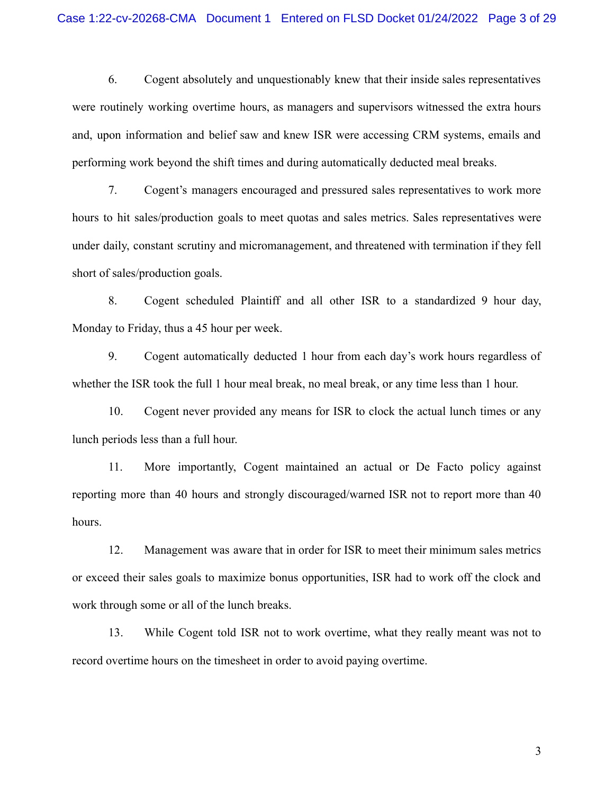6. Cogent absolutely and unquestionably knew that their inside sales representatives were routinely working overtime hours, as managers and supervisors witnessed the extra hours and, upon information and belief saw and knew ISR were accessing CRM systems, emails and performing work beyond the shift times and during automatically deducted meal breaks.

7. Cogent's managers encouraged and pressured sales representatives to work more hours to hit sales/production goals to meet quotas and sales metrics. Sales representatives were under daily, constant scrutiny and micromanagement, and threatened with termination if they fell short of sales/production goals.

8. Cogent scheduled Plaintiff and all other ISR to a standardized 9 hour day, Monday to Friday, thus a 45 hour per week.

9. Cogent automatically deducted 1 hour from each day's work hours regardless of whether the ISR took the full 1 hour meal break, no meal break, or any time less than 1 hour.

10. Cogent never provided any means for ISR to clock the actual lunch times or any lunch periods less than a full hour.

11. More importantly, Cogent maintained an actual or De Facto policy against reporting more than 40 hours and strongly discouraged/warned ISR not to report more than 40 hours.

12. Management was aware that in order for ISR to meet their minimum sales metrics or exceed their sales goals to maximize bonus opportunities, ISR had to work off the clock and work through some or all of the lunch breaks.

13. While Cogent told ISR not to work overtime, what they really meant was not to record overtime hours on the timesheet in order to avoid paying overtime.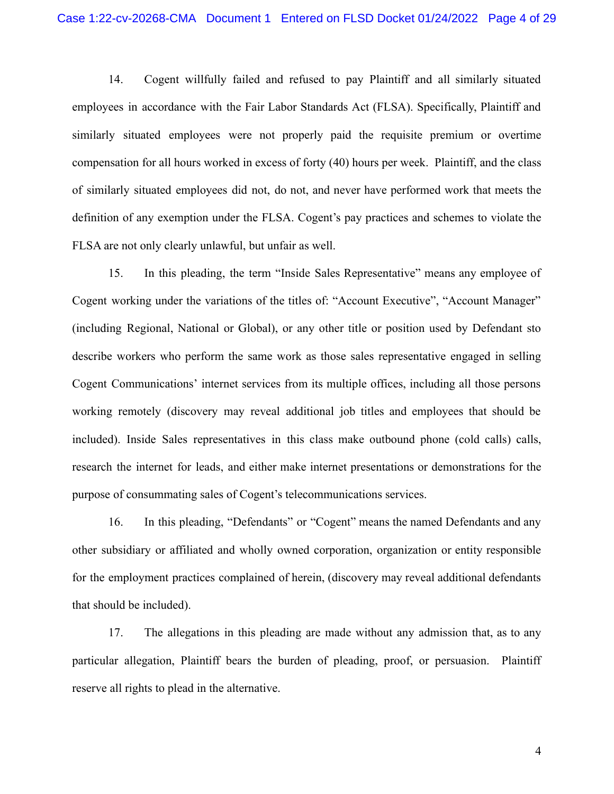14. Cogent willfully failed and refused to pay Plaintiff and all similarly situated employees in accordance with the Fair Labor Standards Act (FLSA). Specifically, Plaintiff and similarly situated employees were not properly paid the requisite premium or overtime compensation for all hours worked in excess of forty (40) hours per week. Plaintiff, and the class of similarly situated employees did not, do not, and never have performed work that meets the definition of any exemption under the FLSA. Cogent's pay practices and schemes to violate the FLSA are not only clearly unlawful, but unfair as well.

15. In this pleading, the term "Inside Sales Representative" means any employee of Cogent working under the variations of the titles of: "Account Executive", "Account Manager" (including Regional, National or Global), or any other title or position used by Defendant sto describe workers who perform the same work as those sales representative engaged in selling Cogent Communications' internet services from its multiple offices, including all those persons working remotely (discovery may reveal additional job titles and employees that should be included). Inside Sales representatives in this class make outbound phone (cold calls) calls, research the internet for leads, and either make internet presentations or demonstrations for the purpose of consummating sales of Cogent's telecommunications services.

16. In this pleading, "Defendants" or "Cogent" means the named Defendants and any other subsidiary or affiliated and wholly owned corporation, organization or entity responsible for the employment practices complained of herein, (discovery may reveal additional defendants that should be included).

17. The allegations in this pleading are made without any admission that, as to any particular allegation, Plaintiff bears the burden of pleading, proof, or persuasion. Plaintiff reserve all rights to plead in the alternative.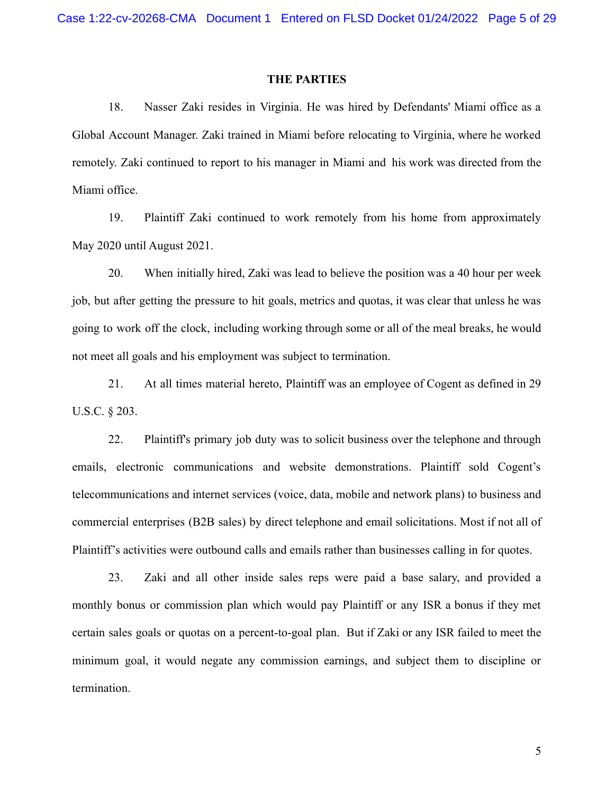#### **THE PARTIES**

18. Nasser Zaki resides in Virginia. He was hired by Defendants' Miami office as a Global Account Manager. Zaki trained in Miami before relocating to Virginia, where he worked remotely. Zaki continued to report to his manager in Miami and his work was directed from the Miami office.

19. Plaintiff Zaki continued to work remotely from his home from approximately May 2020 until August 2021.

20. When initially hired, Zaki was lead to believe the position was a 40 hour per week job, but after getting the pressure to hit goals, metrics and quotas, it was clear that unless he was going to work off the clock, including working through some or all of the meal breaks, he would not meet all goals and his employment was subject to termination.

21. At all times material hereto, Plaintiff was an employee of Cogent as defined in 29 U.S.C. § 203.

22. Plaintiff's primary job duty was to solicit business over the telephone and through emails, electronic communications and website demonstrations. Plaintiff sold Cogent's telecommunications and internet services (voice, data, mobile and network plans) to business and commercial enterprises (B2B sales) by direct telephone and email solicitations. Most if not all of Plaintiff's activities were outbound calls and emails rather than businesses calling in for quotes.

23. Zaki and all other inside sales reps were paid a base salary, and provided a monthly bonus or commission plan which would pay Plaintiff or any ISR a bonus if they met certain sales goals or quotas on a percent-to-goal plan. But if Zaki or any ISR failed to meet the minimum goal, it would negate any commission earnings, and subject them to discipline or termination.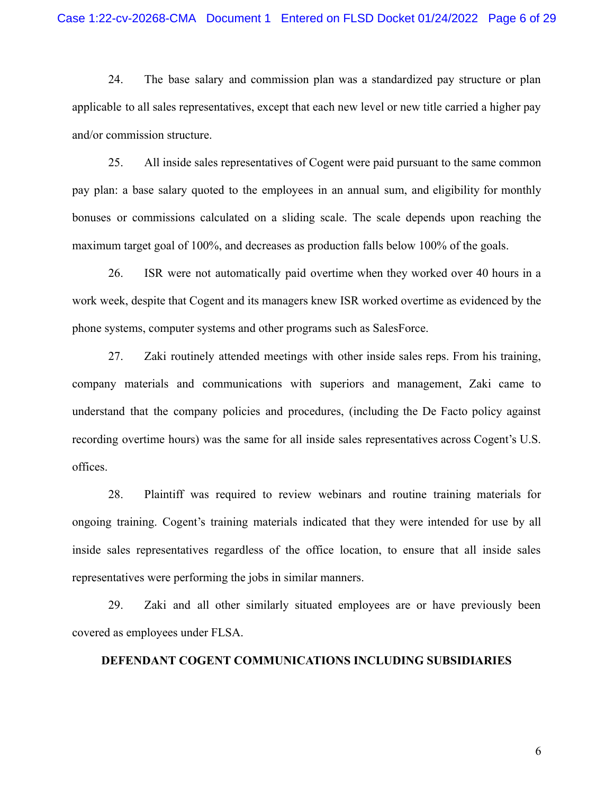24. The base salary and commission plan was a standardized pay structure or plan applicable to all sales representatives, except that each new level or new title carried a higher pay and/or commission structure.

25. All inside sales representatives of Cogent were paid pursuant to the same common pay plan: a base salary quoted to the employees in an annual sum, and eligibility for monthly bonuses or commissions calculated on a sliding scale. The scale depends upon reaching the maximum target goal of 100%, and decreases as production falls below 100% of the goals.

26. ISR were not automatically paid overtime when they worked over 40 hours in a work week, despite that Cogent and its managers knew ISR worked overtime as evidenced by the phone systems, computer systems and other programs such as SalesForce.

27. Zaki routinely attended meetings with other inside sales reps. From his training, company materials and communications with superiors and management, Zaki came to understand that the company policies and procedures, (including the De Facto policy against recording overtime hours) was the same for all inside sales representatives across Cogent's U.S. offices.

28. Plaintiff was required to review webinars and routine training materials for ongoing training. Cogent's training materials indicated that they were intended for use by all inside sales representatives regardless of the office location, to ensure that all inside sales representatives were performing the jobs in similar manners.

29. Zaki and all other similarly situated employees are or have previously been covered as employees under FLSA.

#### **DEFENDANT COGENT COMMUNICATIONS INCLUDING SUBSIDIARIES**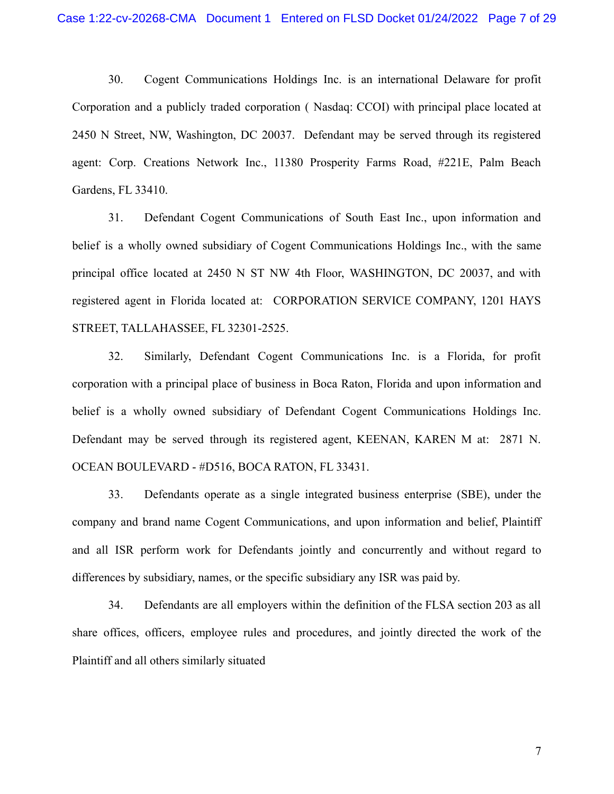30. Cogent Communications Holdings Inc. is an international Delaware for profit Corporation and a publicly traded corporation ( Nasdaq: CCOI) with principal place located at 2450 N Street, NW, Washington, DC 20037. Defendant may be served through its registered agent: Corp. Creations Network Inc., 11380 Prosperity Farms Road, #221E, Palm Beach Gardens, FL 33410.

31. Defendant Cogent Communications of South East Inc., upon information and belief is a wholly owned subsidiary of Cogent Communications Holdings Inc., with the same principal office located at 2450 N ST NW 4th Floor, WASHINGTON, DC 20037, and with registered agent in Florida located at: CORPORATION SERVICE COMPANY, 1201 HAYS STREET, TALLAHASSEE, FL 32301-2525.

32. Similarly, Defendant Cogent Communications Inc. is a Florida, for profit corporation with a principal place of business in Boca Raton, Florida and upon information and belief is a wholly owned subsidiary of Defendant Cogent Communications Holdings Inc. Defendant may be served through its registered agent, KEENAN, KAREN M at: 2871 N. OCEAN BOULEVARD - #D516, BOCA RATON, FL 33431.

33. Defendants operate as a single integrated business enterprise (SBE), under the company and brand name Cogent Communications, and upon information and belief, Plaintiff and all ISR perform work for Defendants jointly and concurrently and without regard to differences by subsidiary, names, or the specific subsidiary any ISR was paid by.

34. Defendants are all employers within the definition of the FLSA section 203 as all share offices, officers, employee rules and procedures, and jointly directed the work of the Plaintiff and all others similarly situated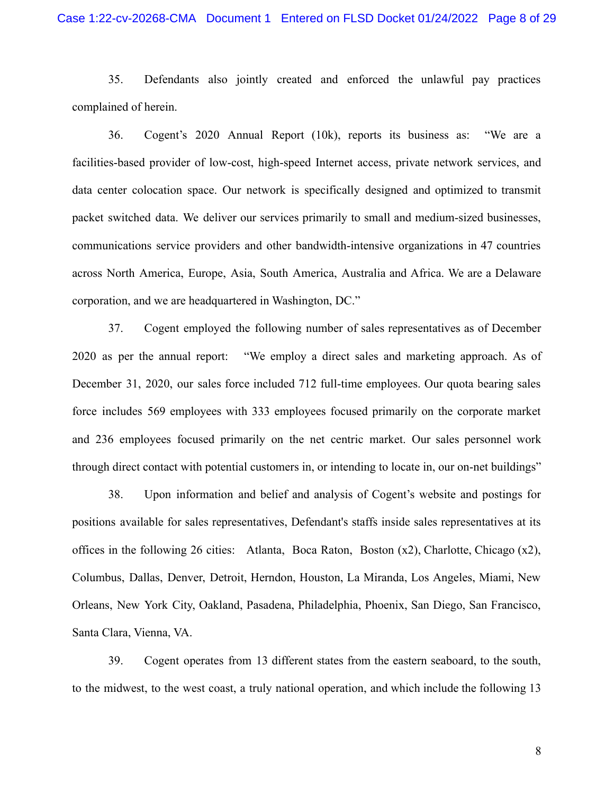35. Defendants also jointly created and enforced the unlawful pay practices complained of herein.

36. Cogent's 2020 Annual Report (10k), reports its business as: "We are a facilities-based provider of low-cost, high-speed Internet access, private network services, and data center colocation space. Our network is specifically designed and optimized to transmit packet switched data. We deliver our services primarily to small and medium-sized businesses, communications service providers and other bandwidth-intensive organizations in 47 countries across North America, Europe, Asia, South America, Australia and Africa. We are a Delaware corporation, and we are headquartered in Washington, DC."

37. Cogent employed the following number of sales representatives as of December 2020 as per the annual report: "We employ a direct sales and marketing approach. As of December 31, 2020, our sales force included 712 full-time employees. Our quota bearing sales force includes 569 employees with 333 employees focused primarily on the corporate market and 236 employees focused primarily on the net centric market. Our sales personnel work through direct contact with potential customers in, or intending to locate in, our on-net buildings"

38. Upon information and belief and analysis of Cogent's website and postings for positions available for sales representatives, Defendant's staffs inside sales representatives at its offices in the following 26 cities: Atlanta, Boca Raton, Boston (x2), Charlotte, Chicago (x2), Columbus, Dallas, Denver, Detroit, Herndon, Houston, La Miranda, Los Angeles, Miami, New Orleans, New York City, Oakland, Pasadena, Philadelphia, Phoenix, San Diego, San Francisco, Santa Clara, Vienna, VA.

39. Cogent operates from 13 different states from the eastern seaboard, to the south, to the midwest, to the west coast, a truly national operation, and which include the following 13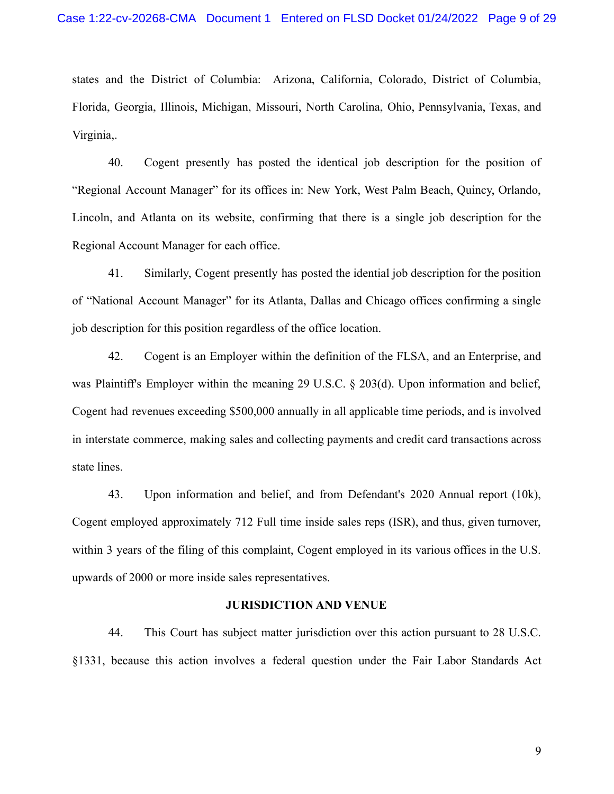states and the District of Columbia: Arizona, California, Colorado, District of Columbia, Florida, Georgia, Illinois, Michigan, Missouri, North Carolina, Ohio, Pennsylvania, Texas, and Virginia,.

40. Cogent presently has posted the identical job description for the position of "Regional Account Manager" for its offices in: New York, West Palm Beach, Quincy, Orlando, Lincoln, and Atlanta on its website, confirming that there is a single job description for the Regional Account Manager for each office.

41. Similarly, Cogent presently has posted the idential job description for the position of "National Account Manager" for its Atlanta, Dallas and Chicago offices confirming a single job description for this position regardless of the office location.

42. Cogent is an Employer within the definition of the FLSA, and an Enterprise, and was Plaintiff's Employer within the meaning 29 U.S.C. § 203(d). Upon information and belief, Cogent had revenues exceeding \$500,000 annually in all applicable time periods, and is involved in interstate commerce, making sales and collecting payments and credit card transactions across state lines.

43. Upon information and belief, and from Defendant's 2020 Annual report (10k), Cogent employed approximately 712 Full time inside sales reps (ISR), and thus, given turnover, within 3 years of the filing of this complaint, Cogent employed in its various offices in the U.S. upwards of 2000 or more inside sales representatives.

#### **JURISDICTION AND VENUE**

44. This Court has subject matter jurisdiction over this action pursuant to 28 U.S.C. §1331, because this action involves a federal question under the Fair Labor Standards Act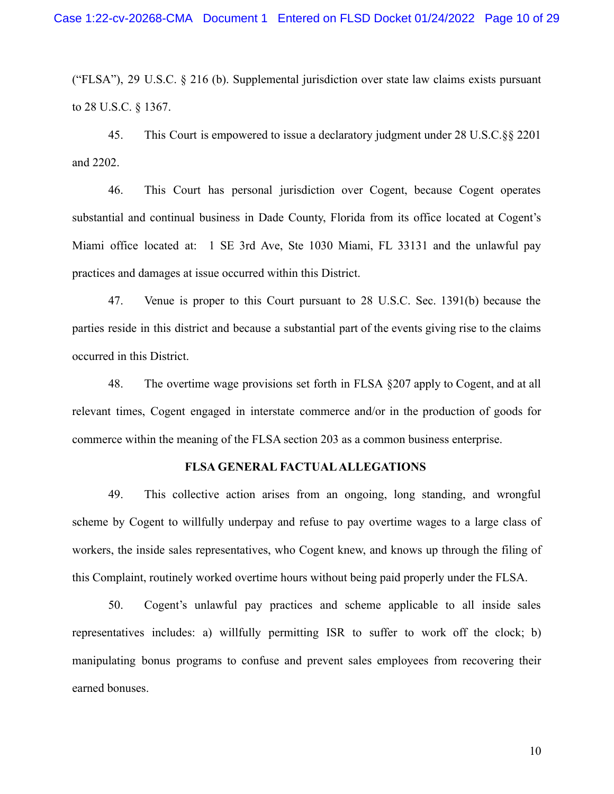("FLSA"), 29 U.S.C. § 216 (b). Supplemental jurisdiction over state law claims exists pursuant to 28 U.S.C. § 1367.

45. This Court is empowered to issue a declaratory judgment under 28 U.S.C.§§ 2201 and 2202.

46. This Court has personal jurisdiction over Cogent, because Cogent operates substantial and continual business in Dade County, Florida from its office located at Cogent's Miami office located at: 1 SE 3rd Ave, Ste 1030 Miami, FL 33131 and the unlawful pay practices and damages at issue occurred within this District.

47. Venue is proper to this Court pursuant to 28 U.S.C. Sec. 1391(b) because the parties reside in this district and because a substantial part of the events giving rise to the claims occurred in this District.

48. The overtime wage provisions set forth in FLSA §207 apply to Cogent, and at all relevant times, Cogent engaged in interstate commerce and/or in the production of goods for commerce within the meaning of the FLSA section 203 as a common business enterprise.

#### **FLSA GENERAL FACTUALALLEGATIONS**

49. This collective action arises from an ongoing, long standing, and wrongful scheme by Cogent to willfully underpay and refuse to pay overtime wages to a large class of workers, the inside sales representatives, who Cogent knew, and knows up through the filing of this Complaint, routinely worked overtime hours without being paid properly under the FLSA.

50. Cogent's unlawful pay practices and scheme applicable to all inside sales representatives includes: a) willfully permitting ISR to suffer to work off the clock; b) manipulating bonus programs to confuse and prevent sales employees from recovering their earned bonuses.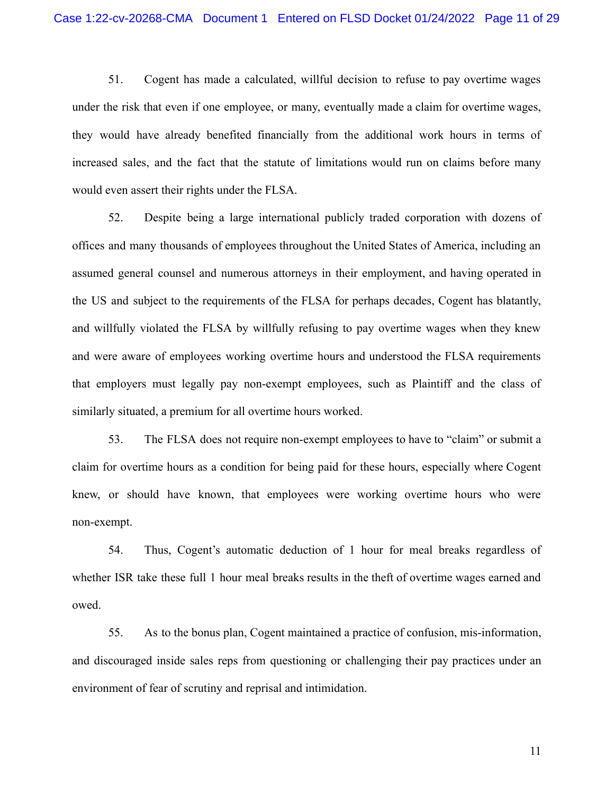51. Cogent has made a calculated, willful decision to refuse to pay overtime wages under the risk that even if one employee, or many, eventually made a claim for overtime wages, they would have already benefited financially from the additional work hours in terms of increased sales, and the fact that the statute of limitations would run on claims before many would even assert their rights under the FLSA.

52. Despite being a large international publicly traded corporation with dozens of offices and many thousands of employees throughout the United States of America, including an assumed general counsel and numerous attorneys in their employment, and having operated in the US and subject to the requirements of the FLSA for perhaps decades, Cogent has blatantly, and willfully violated the FLSA by willfully refusing to pay overtime wages when they knew and were aware of employees working overtime hours and understood the FLSA requirements that employers must legally pay non-exempt employees, such as Plaintiff and the class of similarly situated, a premium for all overtime hours worked.

53. The FLSA does not require non-exempt employees to have to "claim" or submit a claim for overtime hours as a condition for being paid for these hours, especially where Cogent knew, or should have known, that employees were working overtime hours who were non-exempt.

54. Thus, Cogent's automatic deduction of 1 hour for meal breaks regardless of whether ISR take these full 1 hour meal breaks results in the theft of overtime wages earned and owed.

55. As to the bonus plan, Cogent maintained a practice of confusion, mis-information, and discouraged inside sales reps from questioning or challenging their pay practices under an environment of fear of scrutiny and reprisal and intimidation.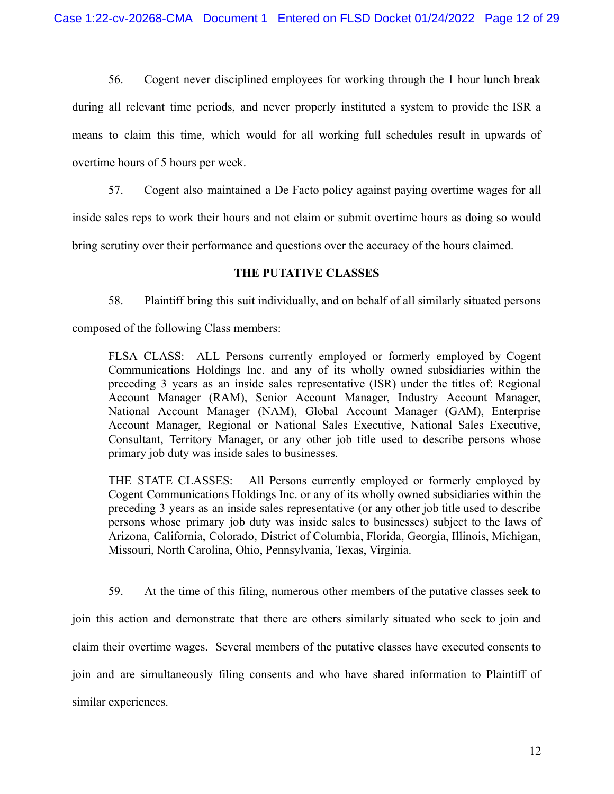56. Cogent never disciplined employees for working through the 1 hour lunch break during all relevant time periods, and never properly instituted a system to provide the ISR a means to claim this time, which would for all working full schedules result in upwards of overtime hours of 5 hours per week.

57. Cogent also maintained a De Facto policy against paying overtime wages for all

inside sales reps to work their hours and not claim or submit overtime hours as doing so would

bring scrutiny over their performance and questions over the accuracy of the hours claimed.

## **THE PUTATIVE CLASSES**

58. Plaintiff bring this suit individually, and on behalf of all similarly situated persons

composed of the following Class members:

FLSA CLASS: ALL Persons currently employed or formerly employed by Cogent Communications Holdings Inc. and any of its wholly owned subsidiaries within the preceding 3 years as an inside sales representative (ISR) under the titles of: Regional Account Manager (RAM), Senior Account Manager, Industry Account Manager, National Account Manager (NAM), Global Account Manager (GAM), Enterprise Account Manager, Regional or National Sales Executive, National Sales Executive, Consultant, Territory Manager, or any other job title used to describe persons whose primary job duty was inside sales to businesses.

THE STATE CLASSES: All Persons currently employed or formerly employed by Cogent Communications Holdings Inc. or any of its wholly owned subsidiaries within the preceding 3 years as an inside sales representative (or any other job title used to describe persons whose primary job duty was inside sales to businesses) subject to the laws of Arizona, California, Colorado, District of Columbia, Florida, Georgia, Illinois, Michigan, Missouri, North Carolina, Ohio, Pennsylvania, Texas, Virginia.

59. At the time of this filing, numerous other members of the putative classes seek to join this action and demonstrate that there are others similarly situated who seek to join and claim their overtime wages. Several members of the putative classes have executed consents to join and are simultaneously filing consents and who have shared information to Plaintiff of similar experiences.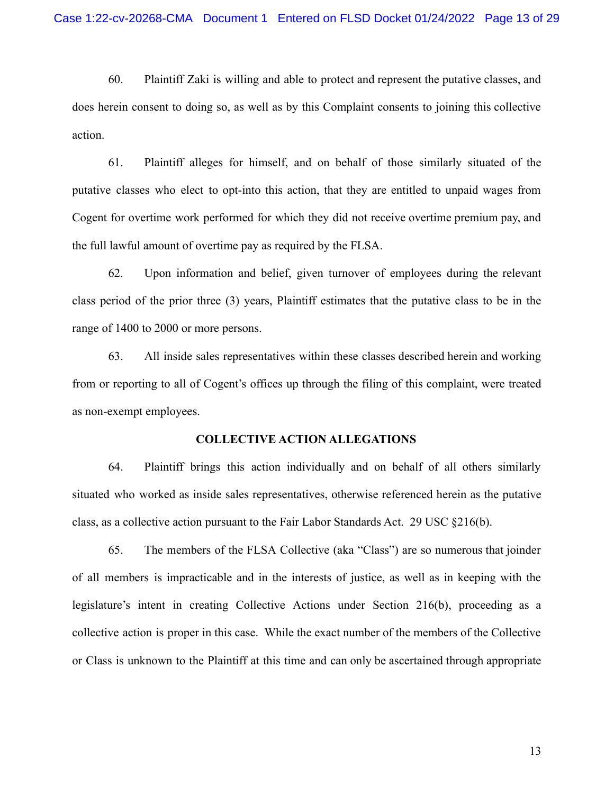60. Plaintiff Zaki is willing and able to protect and represent the putative classes, and does herein consent to doing so, as well as by this Complaint consents to joining this collective action.

61. Plaintiff alleges for himself, and on behalf of those similarly situated of the putative classes who elect to opt-into this action, that they are entitled to unpaid wages from Cogent for overtime work performed for which they did not receive overtime premium pay, and the full lawful amount of overtime pay as required by the FLSA.

62. Upon information and belief, given turnover of employees during the relevant class period of the prior three (3) years, Plaintiff estimates that the putative class to be in the range of 1400 to 2000 or more persons.

63. All inside sales representatives within these classes described herein and working from or reporting to all of Cogent's offices up through the filing of this complaint, were treated as non-exempt employees.

#### **COLLECTIVE ACTION ALLEGATIONS**

64. Plaintiff brings this action individually and on behalf of all others similarly situated who worked as inside sales representatives, otherwise referenced herein as the putative class, as a collective action pursuant to the Fair Labor Standards Act. 29 USC §216(b).

65. The members of the FLSA Collective (aka "Class") are so numerous that joinder of all members is impracticable and in the interests of justice, as well as in keeping with the legislature's intent in creating Collective Actions under Section 216(b), proceeding as a collective action is proper in this case. While the exact number of the members of the Collective or Class is unknown to the Plaintiff at this time and can only be ascertained through appropriate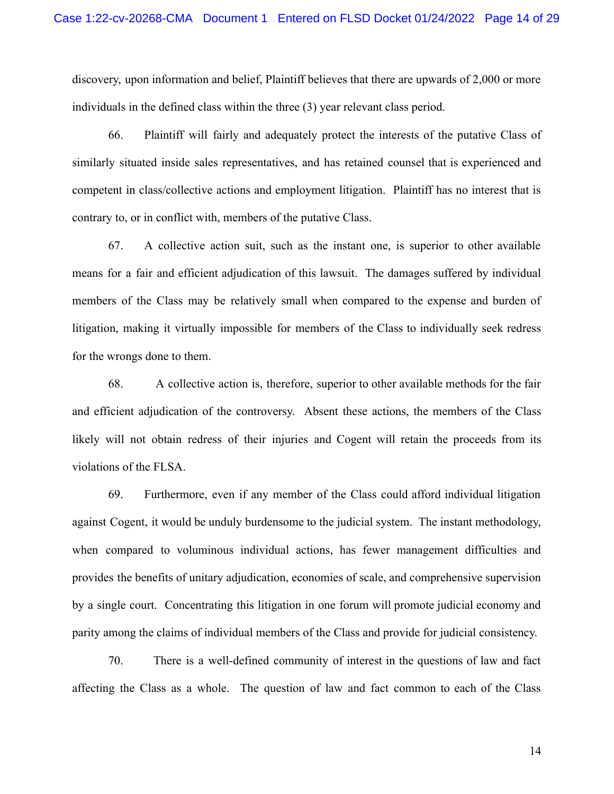discovery, upon information and belief, Plaintiff believes that there are upwards of 2,000 or more individuals in the defined class within the three (3) year relevant class period.

66. Plaintiff will fairly and adequately protect the interests of the putative Class of similarly situated inside sales representatives, and has retained counsel that is experienced and competent in class/collective actions and employment litigation. Plaintiff has no interest that is contrary to, or in conflict with, members of the putative Class.

67. A collective action suit, such as the instant one, is superior to other available means for a fair and efficient adjudication of this lawsuit. The damages suffered by individual members of the Class may be relatively small when compared to the expense and burden of litigation, making it virtually impossible for members of the Class to individually seek redress for the wrongs done to them.

68. A collective action is, therefore, superior to other available methods for the fair and efficient adjudication of the controversy. Absent these actions, the members of the Class likely will not obtain redress of their injuries and Cogent will retain the proceeds from its violations of the FLSA.

69. Furthermore, even if any member of the Class could afford individual litigation against Cogent, it would be unduly burdensome to the judicial system. The instant methodology, when compared to voluminous individual actions, has fewer management difficulties and provides the benefits of unitary adjudication, economies of scale, and comprehensive supervision by a single court. Concentrating this litigation in one forum will promote judicial economy and parity among the claims of individual members of the Class and provide for judicial consistency.

70. There is a well-defined community of interest in the questions of law and fact affecting the Class as a whole. The question of law and fact common to each of the Class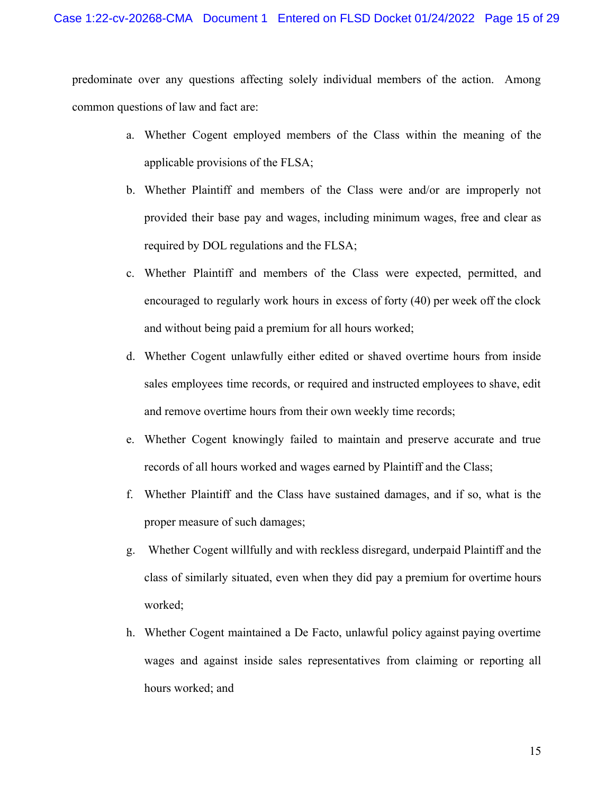predominate over any questions affecting solely individual members of the action. Among common questions of law and fact are:

- a. Whether Cogent employed members of the Class within the meaning of the applicable provisions of the FLSA;
- b. Whether Plaintiff and members of the Class were and/or are improperly not provided their base pay and wages, including minimum wages, free and clear as required by DOL regulations and the FLSA;
- c. Whether Plaintiff and members of the Class were expected, permitted, and encouraged to regularly work hours in excess of forty (40) per week off the clock and without being paid a premium for all hours worked;
- d. Whether Cogent unlawfully either edited or shaved overtime hours from inside sales employees time records, or required and instructed employees to shave, edit and remove overtime hours from their own weekly time records;
- e. Whether Cogent knowingly failed to maintain and preserve accurate and true records of all hours worked and wages earned by Plaintiff and the Class;
- f. Whether Plaintiff and the Class have sustained damages, and if so, what is the proper measure of such damages;
- g. Whether Cogent willfully and with reckless disregard, underpaid Plaintiff and the class of similarly situated, even when they did pay a premium for overtime hours worked;
- h. Whether Cogent maintained a De Facto, unlawful policy against paying overtime wages and against inside sales representatives from claiming or reporting all hours worked; and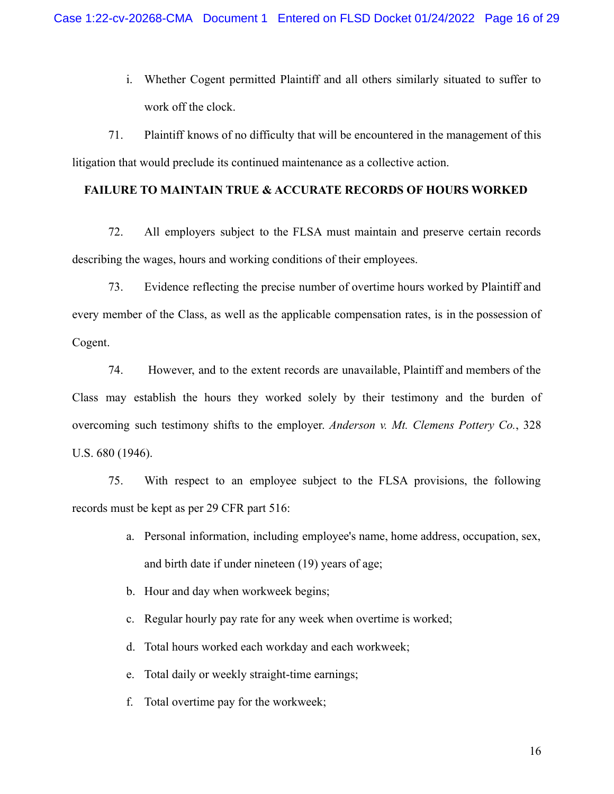i. Whether Cogent permitted Plaintiff and all others similarly situated to suffer to work off the clock.

71. Plaintiff knows of no difficulty that will be encountered in the management of this litigation that would preclude its continued maintenance as a collective action.

### **FAILURE TO MAINTAIN TRUE & ACCURATE RECORDS OF HOURS WORKED**

72. All employers subject to the FLSA must maintain and preserve certain records describing the wages, hours and working conditions of their employees.

73. Evidence reflecting the precise number of overtime hours worked by Plaintiff and every member of the Class, as well as the applicable compensation rates, is in the possession of Cogent.

74. However, and to the extent records are unavailable, Plaintiff and members of the Class may establish the hours they worked solely by their testimony and the burden of overcoming such testimony shifts to the employer. *Anderson v. Mt. Clemens Pottery Co.*, 328 U.S. 680 (1946).

75. With respect to an employee subject to the FLSA provisions, the following records must be kept as per 29 CFR part 516:

- a. Personal information, including employee's name, home address, occupation, sex, and birth date if under nineteen (19) years of age;
- b. Hour and day when workweek begins;
- c. Regular hourly pay rate for any week when overtime is worked;
- d. Total hours worked each workday and each workweek;
- e. Total daily or weekly straight-time earnings;
- f. Total overtime pay for the workweek;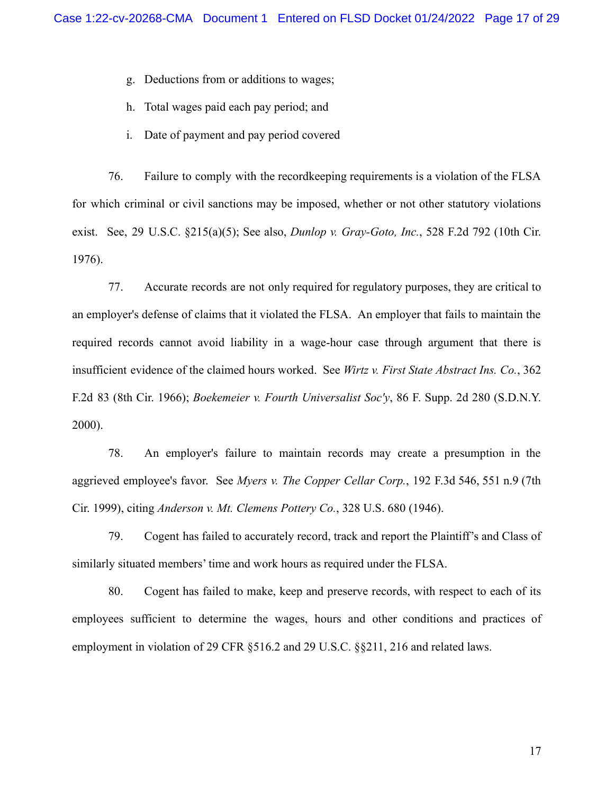g. Deductions from or additions to wages;

h. Total wages paid each pay period; and

i. Date of payment and pay period covered

76. Failure to comply with the recordkeeping requirements is a violation of the FLSA for which criminal or civil sanctions may be imposed, whether or not other statutory violations exist. See, 29 U.S.C. §215(a)(5); See also, *Dunlop v. Gray-Goto, Inc.*, 528 F.2d 792 (10th Cir. 1976).

77. Accurate records are not only required for regulatory purposes, they are critical to an employer's defense of claims that it violated the FLSA. An employer that fails to maintain the required records cannot avoid liability in a wage-hour case through argument that there is insufficient evidence of the claimed hours worked. See *Wirtz v. First State Abstract Ins. Co.*, 362 F.2d 83 (8th Cir. 1966); *Boekemeier v. Fourth Universalist Soc'y*, 86 F. Supp. 2d 280 (S.D.N.Y. 2000).

78. An employer's failure to maintain records may create a presumption in the aggrieved employee's favor. See *Myers v. The Copper Cellar Corp.*, 192 F.3d 546, 551 n.9 (7th Cir. 1999), citing *Anderson v. Mt. Clemens Pottery Co.*, 328 U.S. 680 (1946).

79. Cogent has failed to accurately record, track and report the Plaintiff's and Class of similarly situated members' time and work hours as required under the FLSA.

80. Cogent has failed to make, keep and preserve records, with respect to each of its employees sufficient to determine the wages, hours and other conditions and practices of employment in violation of 29 CFR §516.2 and 29 U.S.C. §§211, 216 and related laws.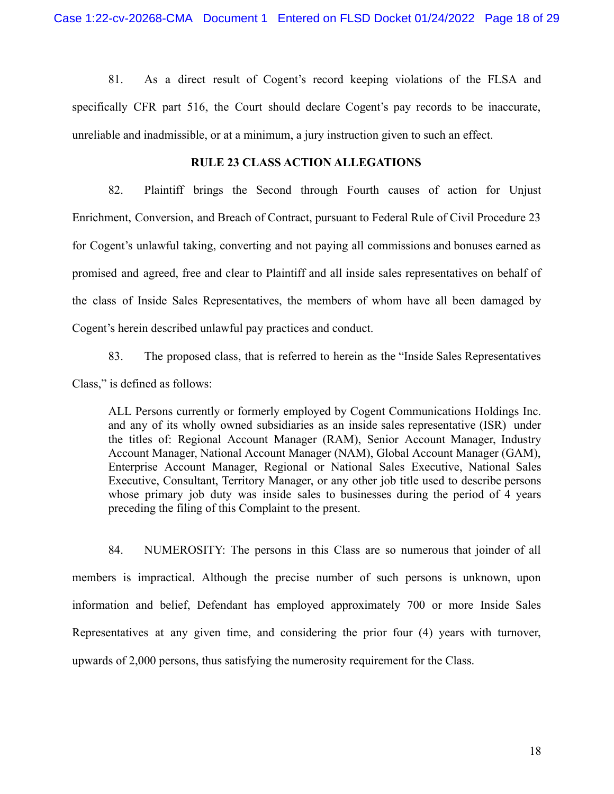81. As a direct result of Cogent's record keeping violations of the FLSA and specifically CFR part 516, the Court should declare Cogent's pay records to be inaccurate, unreliable and inadmissible, or at a minimum, a jury instruction given to such an effect.

### **RULE 23 CLASS ACTION ALLEGATIONS**

82. Plaintiff brings the Second through Fourth causes of action for Unjust Enrichment, Conversion, and Breach of Contract, pursuant to Federal Rule of Civil Procedure 23 for Cogent's unlawful taking, converting and not paying all commissions and bonuses earned as promised and agreed, free and clear to Plaintiff and all inside sales representatives on behalf of the class of Inside Sales Representatives, the members of whom have all been damaged by Cogent's herein described unlawful pay practices and conduct.

83. The proposed class, that is referred to herein as the "Inside Sales Representatives Class," is defined as follows:

ALL Persons currently or formerly employed by Cogent Communications Holdings Inc. and any of its wholly owned subsidiaries as an inside sales representative (ISR) under the titles of: Regional Account Manager (RAM), Senior Account Manager, Industry Account Manager, National Account Manager (NAM), Global Account Manager (GAM), Enterprise Account Manager, Regional or National Sales Executive, National Sales Executive, Consultant, Territory Manager, or any other job title used to describe persons whose primary job duty was inside sales to businesses during the period of 4 years preceding the filing of this Complaint to the present.

84. NUMEROSITY: The persons in this Class are so numerous that joinder of all members is impractical. Although the precise number of such persons is unknown, upon information and belief, Defendant has employed approximately 700 or more Inside Sales Representatives at any given time, and considering the prior four (4) years with turnover, upwards of 2,000 persons, thus satisfying the numerosity requirement for the Class.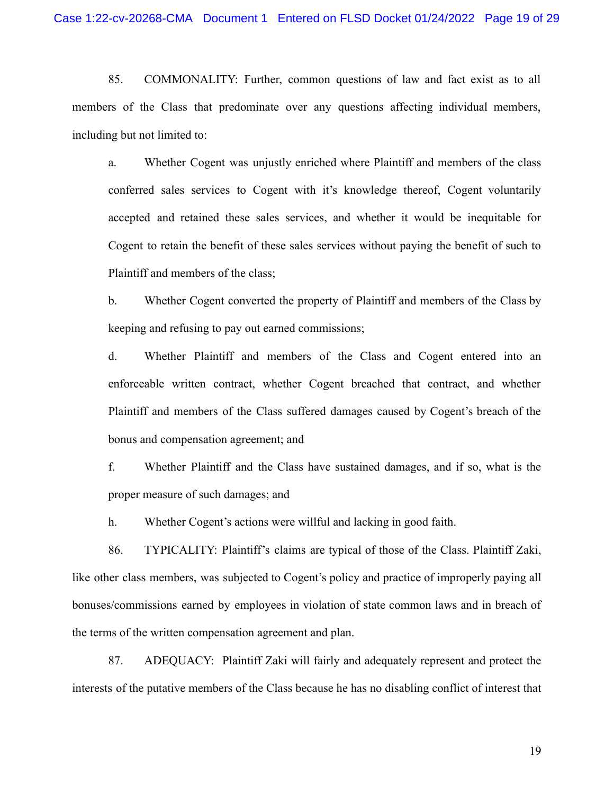85. COMMONALITY: Further, common questions of law and fact exist as to all members of the Class that predominate over any questions affecting individual members, including but not limited to:

a. Whether Cogent was unjustly enriched where Plaintiff and members of the class conferred sales services to Cogent with it's knowledge thereof, Cogent voluntarily accepted and retained these sales services, and whether it would be inequitable for Cogent to retain the benefit of these sales services without paying the benefit of such to Plaintiff and members of the class;

b. Whether Cogent converted the property of Plaintiff and members of the Class by keeping and refusing to pay out earned commissions;

d. Whether Plaintiff and members of the Class and Cogent entered into an enforceable written contract, whether Cogent breached that contract, and whether Plaintiff and members of the Class suffered damages caused by Cogent's breach of the bonus and compensation agreement; and

f. Whether Plaintiff and the Class have sustained damages, and if so, what is the proper measure of such damages; and

h. Whether Cogent's actions were willful and lacking in good faith.

86. TYPICALITY: Plaintiff's claims are typical of those of the Class. Plaintiff Zaki, like other class members, was subjected to Cogent's policy and practice of improperly paying all bonuses/commissions earned by employees in violation of state common laws and in breach of the terms of the written compensation agreement and plan.

87. ADEQUACY: Plaintiff Zaki will fairly and adequately represent and protect the interests of the putative members of the Class because he has no disabling conflict of interest that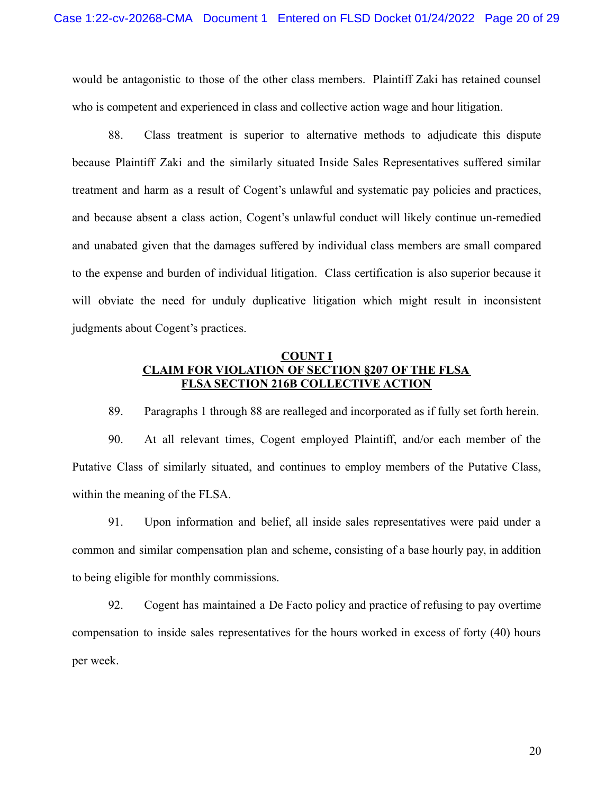would be antagonistic to those of the other class members. Plaintiff Zaki has retained counsel who is competent and experienced in class and collective action wage and hour litigation.

88. Class treatment is superior to alternative methods to adjudicate this dispute because Plaintiff Zaki and the similarly situated Inside Sales Representatives suffered similar treatment and harm as a result of Cogent's unlawful and systematic pay policies and practices, and because absent a class action, Cogent's unlawful conduct will likely continue un-remedied and unabated given that the damages suffered by individual class members are small compared to the expense and burden of individual litigation. Class certification is also superior because it will obviate the need for unduly duplicative litigation which might result in inconsistent judgments about Cogent's practices.

## **COUNT I CLAIM FOR VIOLATION OF SECTION §207 OF THE FLSA FLSA SECTION 216B COLLECTIVE ACTION**

89. Paragraphs 1 through 88 are realleged and incorporated as if fully set forth herein.

90. At all relevant times, Cogent employed Plaintiff, and/or each member of the Putative Class of similarly situated, and continues to employ members of the Putative Class, within the meaning of the FLSA.

91. Upon information and belief, all inside sales representatives were paid under a common and similar compensation plan and scheme, consisting of a base hourly pay, in addition to being eligible for monthly commissions.

92. Cogent has maintained a De Facto policy and practice of refusing to pay overtime compensation to inside sales representatives for the hours worked in excess of forty (40) hours per week.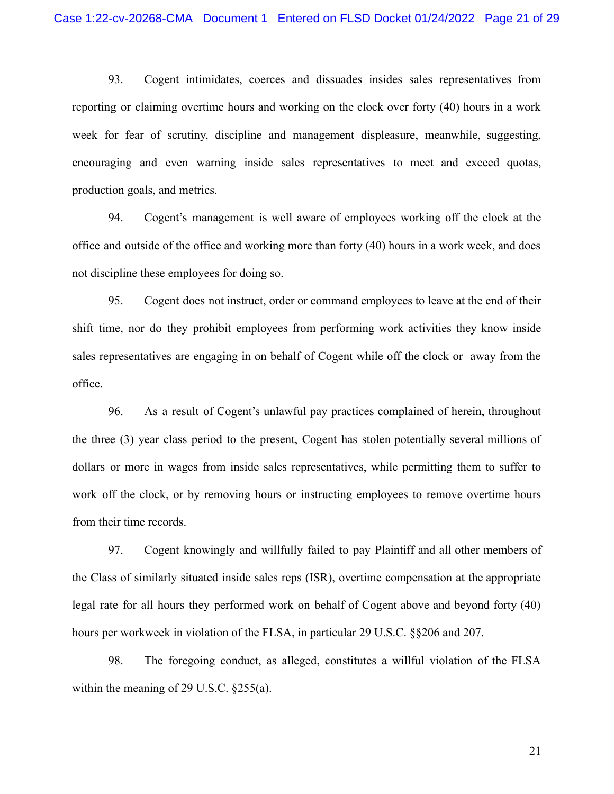93. Cogent intimidates, coerces and dissuades insides sales representatives from reporting or claiming overtime hours and working on the clock over forty (40) hours in a work week for fear of scrutiny, discipline and management displeasure, meanwhile, suggesting, encouraging and even warning inside sales representatives to meet and exceed quotas, production goals, and metrics.

94. Cogent's management is well aware of employees working off the clock at the office and outside of the office and working more than forty (40) hours in a work week, and does not discipline these employees for doing so.

95. Cogent does not instruct, order or command employees to leave at the end of their shift time, nor do they prohibit employees from performing work activities they know inside sales representatives are engaging in on behalf of Cogent while off the clock or away from the office.

96. As a result of Cogent's unlawful pay practices complained of herein, throughout the three (3) year class period to the present, Cogent has stolen potentially several millions of dollars or more in wages from inside sales representatives, while permitting them to suffer to work off the clock, or by removing hours or instructing employees to remove overtime hours from their time records.

97. Cogent knowingly and willfully failed to pay Plaintiff and all other members of the Class of similarly situated inside sales reps (ISR), overtime compensation at the appropriate legal rate for all hours they performed work on behalf of Cogent above and beyond forty (40) hours per workweek in violation of the FLSA, in particular 29 U.S.C. §§206 and 207.

98. The foregoing conduct, as alleged, constitutes a willful violation of the FLSA within the meaning of 29 U.S.C. §255(a).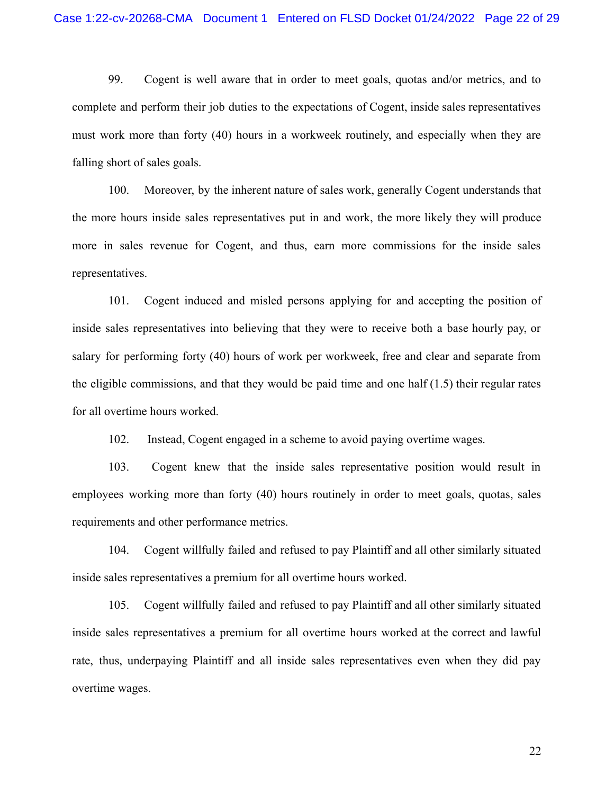99. Cogent is well aware that in order to meet goals, quotas and/or metrics, and to complete and perform their job duties to the expectations of Cogent, inside sales representatives must work more than forty (40) hours in a workweek routinely, and especially when they are falling short of sales goals.

100. Moreover, by the inherent nature of sales work, generally Cogent understands that the more hours inside sales representatives put in and work, the more likely they will produce more in sales revenue for Cogent, and thus, earn more commissions for the inside sales representatives.

101. Cogent induced and misled persons applying for and accepting the position of inside sales representatives into believing that they were to receive both a base hourly pay, or salary for performing forty (40) hours of work per workweek, free and clear and separate from the eligible commissions, and that they would be paid time and one half  $(1.5)$  their regular rates for all overtime hours worked.

102. Instead, Cogent engaged in a scheme to avoid paying overtime wages.

103. Cogent knew that the inside sales representative position would result in employees working more than forty (40) hours routinely in order to meet goals, quotas, sales requirements and other performance metrics.

104. Cogent willfully failed and refused to pay Plaintiff and all other similarly situated inside sales representatives a premium for all overtime hours worked.

105. Cogent willfully failed and refused to pay Plaintiff and all other similarly situated inside sales representatives a premium for all overtime hours worked at the correct and lawful rate, thus, underpaying Plaintiff and all inside sales representatives even when they did pay overtime wages.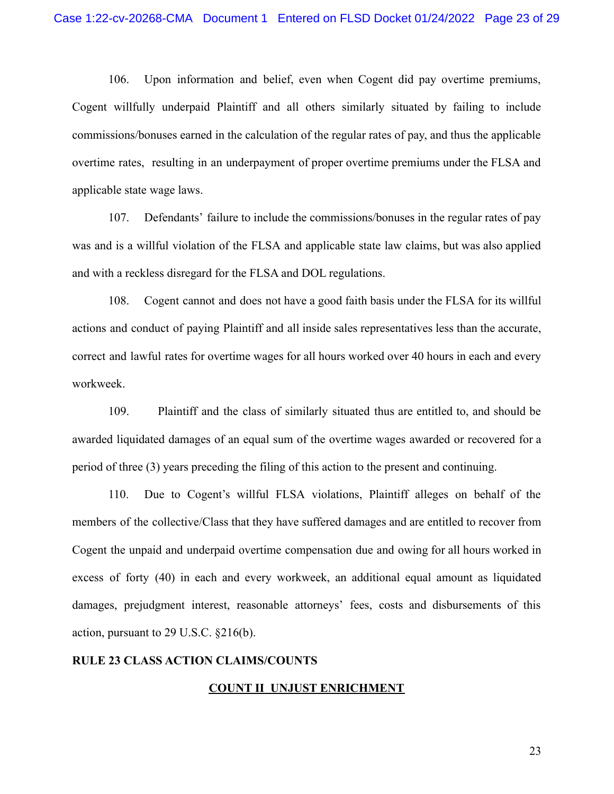106. Upon information and belief, even when Cogent did pay overtime premiums, Cogent willfully underpaid Plaintiff and all others similarly situated by failing to include commissions/bonuses earned in the calculation of the regular rates of pay, and thus the applicable overtime rates, resulting in an underpayment of proper overtime premiums under the FLSA and applicable state wage laws.

107. Defendants' failure to include the commissions/bonuses in the regular rates of pay was and is a willful violation of the FLSA and applicable state law claims, but was also applied and with a reckless disregard for the FLSA and DOL regulations.

108. Cogent cannot and does not have a good faith basis under the FLSA for its willful actions and conduct of paying Plaintiff and all inside sales representatives less than the accurate, correct and lawful rates for overtime wages for all hours worked over 40 hours in each and every workweek.

109. Plaintiff and the class of similarly situated thus are entitled to, and should be awarded liquidated damages of an equal sum of the overtime wages awarded or recovered for a period of three (3) years preceding the filing of this action to the present and continuing.

110. Due to Cogent's willful FLSA violations, Plaintiff alleges on behalf of the members of the collective/Class that they have suffered damages and are entitled to recover from Cogent the unpaid and underpaid overtime compensation due and owing for all hours worked in excess of forty (40) in each and every workweek, an additional equal amount as liquidated damages, prejudgment interest, reasonable attorneys' fees, costs and disbursements of this action, pursuant to 29 U.S.C. §216(b).

## **RULE 23 CLASS ACTION CLAIMS/COUNTS**

#### **COUNT II UNJUST ENRICHMENT**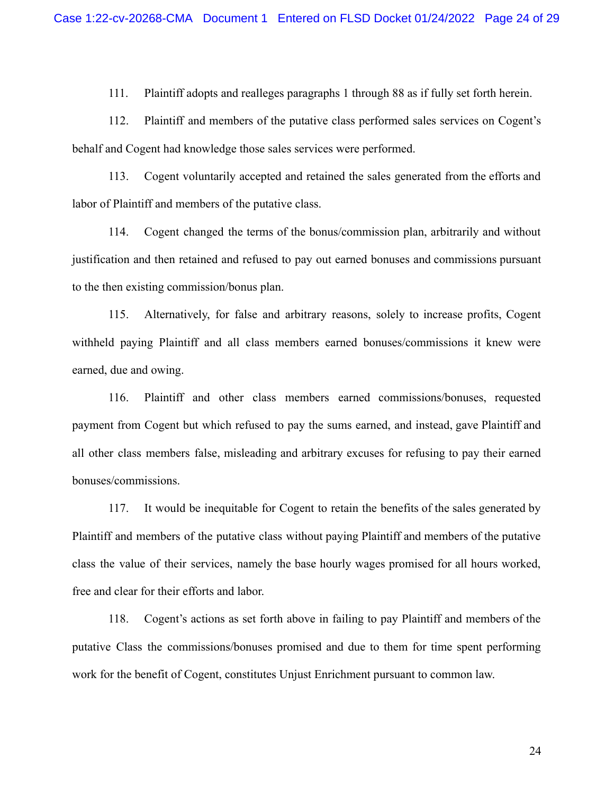111. Plaintiff adopts and realleges paragraphs 1 through 88 as if fully set forth herein.

112. Plaintiff and members of the putative class performed sales services on Cogent's behalf and Cogent had knowledge those sales services were performed.

113. Cogent voluntarily accepted and retained the sales generated from the efforts and labor of Plaintiff and members of the putative class.

114. Cogent changed the terms of the bonus/commission plan, arbitrarily and without justification and then retained and refused to pay out earned bonuses and commissions pursuant to the then existing commission/bonus plan.

115. Alternatively, for false and arbitrary reasons, solely to increase profits, Cogent withheld paying Plaintiff and all class members earned bonuses/commissions it knew were earned, due and owing.

116. Plaintiff and other class members earned commissions/bonuses, requested payment from Cogent but which refused to pay the sums earned, and instead, gave Plaintiff and all other class members false, misleading and arbitrary excuses for refusing to pay their earned bonuses/commissions.

117. It would be inequitable for Cogent to retain the benefits of the sales generated by Plaintiff and members of the putative class without paying Plaintiff and members of the putative class the value of their services, namely the base hourly wages promised for all hours worked, free and clear for their efforts and labor.

118. Cogent's actions as set forth above in failing to pay Plaintiff and members of the putative Class the commissions/bonuses promised and due to them for time spent performing work for the benefit of Cogent, constitutes Unjust Enrichment pursuant to common law.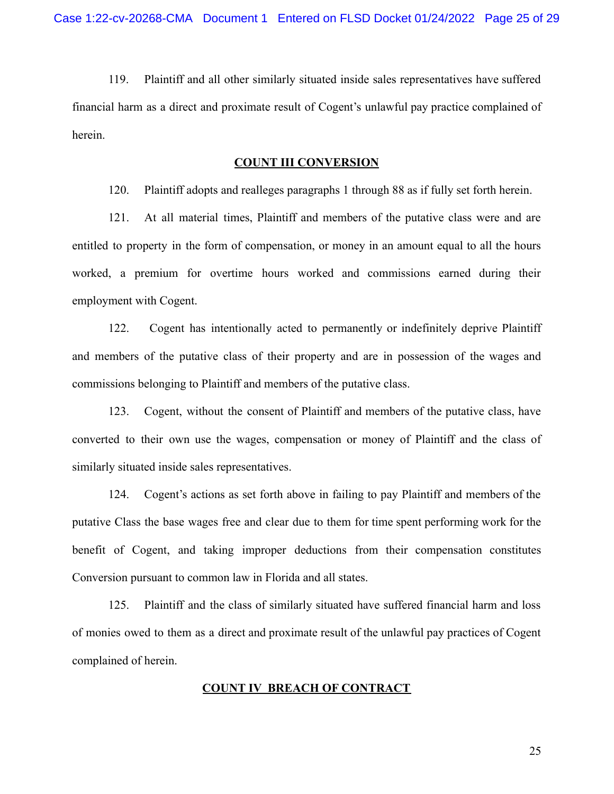119. Plaintiff and all other similarly situated inside sales representatives have suffered financial harm as a direct and proximate result of Cogent's unlawful pay practice complained of herein.

#### **COUNT III CONVERSION**

120. Plaintiff adopts and realleges paragraphs 1 through 88 as if fully set forth herein.

121. At all material times, Plaintiff and members of the putative class were and are entitled to property in the form of compensation, or money in an amount equal to all the hours worked, a premium for overtime hours worked and commissions earned during their employment with Cogent.

122. Cogent has intentionally acted to permanently or indefinitely deprive Plaintiff and members of the putative class of their property and are in possession of the wages and commissions belonging to Plaintiff and members of the putative class.

123. Cogent, without the consent of Plaintiff and members of the putative class, have converted to their own use the wages, compensation or money of Plaintiff and the class of similarly situated inside sales representatives.

124. Cogent's actions as set forth above in failing to pay Plaintiff and members of the putative Class the base wages free and clear due to them for time spent performing work for the benefit of Cogent, and taking improper deductions from their compensation constitutes Conversion pursuant to common law in Florida and all states.

125. Plaintiff and the class of similarly situated have suffered financial harm and loss of monies owed to them as a direct and proximate result of the unlawful pay practices of Cogent complained of herein.

#### **COUNT IV BREACH OF CONTRACT**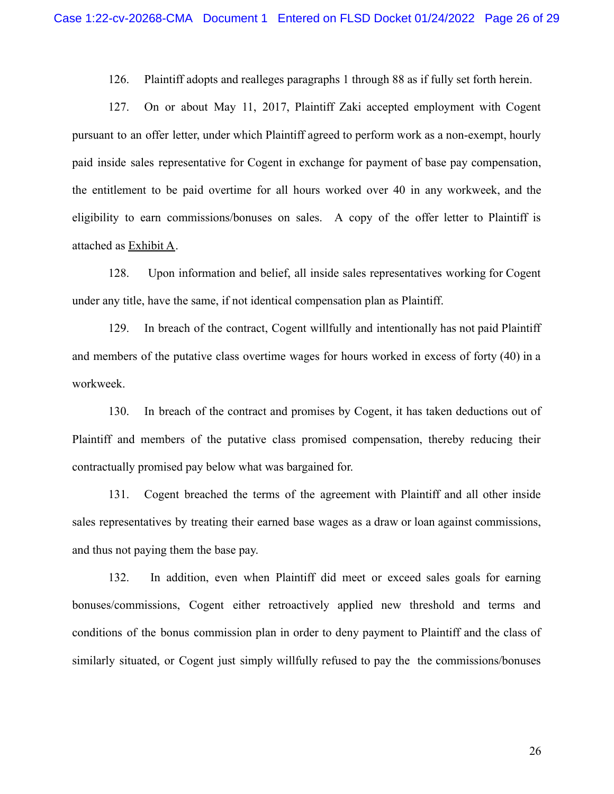126. Plaintiff adopts and realleges paragraphs 1 through 88 as if fully set forth herein.

127. On or about May 11, 2017, Plaintiff Zaki accepted employment with Cogent pursuant to an offer letter, under which Plaintiff agreed to perform work as a non-exempt, hourly paid inside sales representative for Cogent in exchange for payment of base pay compensation, the entitlement to be paid overtime for all hours worked over 40 in any workweek, and the eligibility to earn commissions/bonuses on sales. A copy of the offer letter to Plaintiff is attached as Exhibit A.

128. Upon information and belief, all inside sales representatives working for Cogent under any title, have the same, if not identical compensation plan as Plaintiff.

129. In breach of the contract, Cogent willfully and intentionally has not paid Plaintiff and members of the putative class overtime wages for hours worked in excess of forty (40) in a workweek.

130. In breach of the contract and promises by Cogent, it has taken deductions out of Plaintiff and members of the putative class promised compensation, thereby reducing their contractually promised pay below what was bargained for.

131. Cogent breached the terms of the agreement with Plaintiff and all other inside sales representatives by treating their earned base wages as a draw or loan against commissions, and thus not paying them the base pay.

132. In addition, even when Plaintiff did meet or exceed sales goals for earning bonuses/commissions, Cogent either retroactively applied new threshold and terms and conditions of the bonus commission plan in order to deny payment to Plaintiff and the class of similarly situated, or Cogent just simply willfully refused to pay the the commissions/bonuses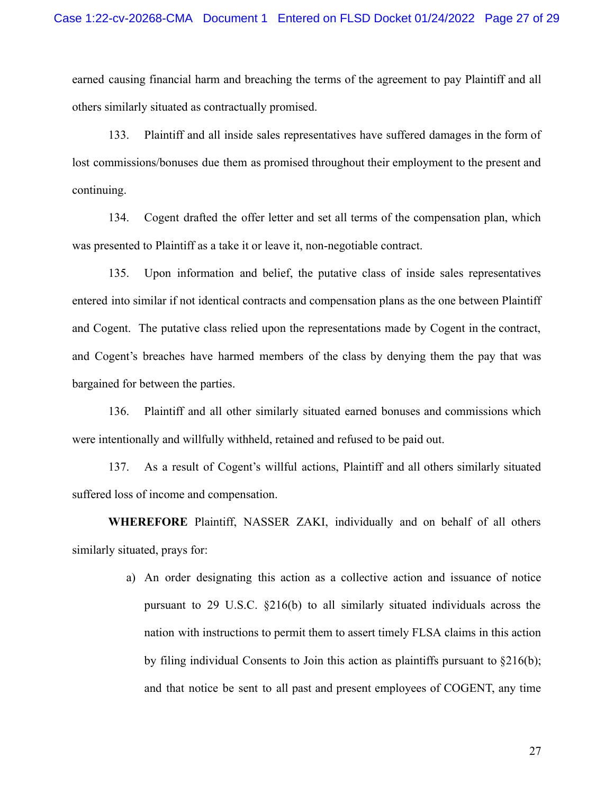earned causing financial harm and breaching the terms of the agreement to pay Plaintiff and all others similarly situated as contractually promised.

133. Plaintiff and all inside sales representatives have suffered damages in the form of lost commissions/bonuses due them as promised throughout their employment to the present and continuing.

134. Cogent drafted the offer letter and set all terms of the compensation plan, which was presented to Plaintiff as a take it or leave it, non-negotiable contract.

135. Upon information and belief, the putative class of inside sales representatives entered into similar if not identical contracts and compensation plans as the one between Plaintiff and Cogent. The putative class relied upon the representations made by Cogent in the contract, and Cogent's breaches have harmed members of the class by denying them the pay that was bargained for between the parties.

136. Plaintiff and all other similarly situated earned bonuses and commissions which were intentionally and willfully withheld, retained and refused to be paid out.

137. As a result of Cogent's willful actions, Plaintiff and all others similarly situated suffered loss of income and compensation.

**WHEREFORE** Plaintiff, NASSER ZAKI, individually and on behalf of all others similarly situated, prays for:

> a) An order designating this action as a collective action and issuance of notice pursuant to 29 U.S.C. §216(b) to all similarly situated individuals across the nation with instructions to permit them to assert timely FLSA claims in this action by filing individual Consents to Join this action as plaintiffs pursuant to  $\S216(b)$ ; and that notice be sent to all past and present employees of COGENT, any time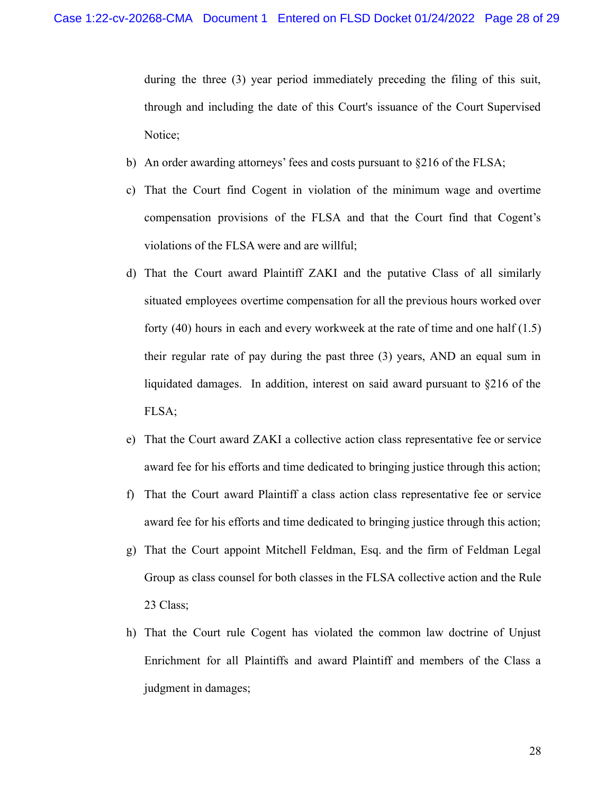during the three (3) year period immediately preceding the filing of this suit, through and including the date of this Court's issuance of the Court Supervised Notice;

- b) An order awarding attorneys' fees and costs pursuant to §216 of the FLSA;
- c) That the Court find Cogent in violation of the minimum wage and overtime compensation provisions of the FLSA and that the Court find that Cogent's violations of the FLSA were and are willful;
- d) That the Court award Plaintiff ZAKI and the putative Class of all similarly situated employees overtime compensation for all the previous hours worked over forty (40) hours in each and every workweek at the rate of time and one half (1.5) their regular rate of pay during the past three (3) years, AND an equal sum in liquidated damages. In addition, interest on said award pursuant to §216 of the FLSA;
- e) That the Court award ZAKI a collective action class representative fee or service award fee for his efforts and time dedicated to bringing justice through this action;
- f) That the Court award Plaintiff a class action class representative fee or service award fee for his efforts and time dedicated to bringing justice through this action;
- g) That the Court appoint Mitchell Feldman, Esq. and the firm of Feldman Legal Group as class counsel for both classes in the FLSA collective action and the Rule 23 Class;
- h) That the Court rule Cogent has violated the common law doctrine of Unjust Enrichment for all Plaintiffs and award Plaintiff and members of the Class a judgment in damages;